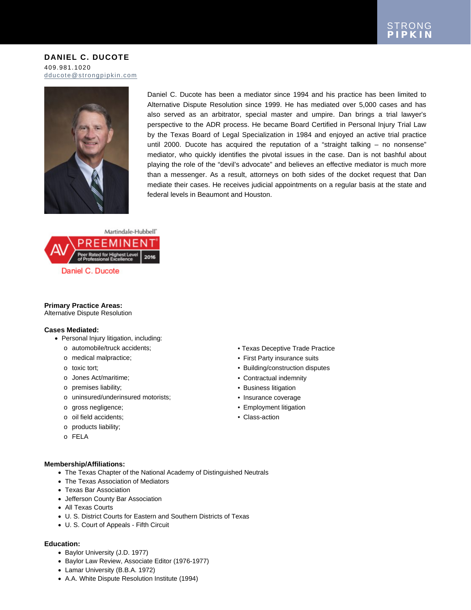**DANIEL C. DUCOTE** 409.981.1020 [dducote@strongpipkin.com](mailto:dducote@strongpipkin.com)



Daniel C. Ducote has been a mediator since 1994 and his practice has been limited to Alternative Dispute Resolution since 1999. He has mediated over 5,000 cases and has also served as an arbitrator, special master and umpire. Dan brings a trial lawyer's perspective to the ADR process. He became Board Certified in Personal Injury Trial Law by the Texas Board of Legal Specialization in 1984 and enjoyed an active trial practice until 2000. Ducote has acquired the reputation of a "straight talking – no nonsense" mediator, who quickly identifies the pivotal issues in the case. Dan is not bashful about playing the role of the "devil's advocate" and believes an effective mediator is much more than a messenger. As a result, attorneys on both sides of the docket request that Dan mediate their cases. He receives judicial appointments on a regular basis at the state and federal levels in Beaumont and Houston.



# **Primary Practice Areas:**

Alternative Dispute Resolution

# **Cases Mediated:**

- Personal Injury litigation, including:
	- o automobile/truck accidents;
	- o medical malpractice;
	- o toxic tort;
	- o Jones Act/maritime;
	- o premises liability;
	- o uninsured/underinsured motorists;
	- o gross negligence;
	- o oil field accidents;
	- o products liability;
	- o FELA

## • Texas Deceptive Trade Practice

- First Party insurance suits
- Building/construction disputes
- Contractual indemnity
- Business litigation
- Insurance coverage
- Employment litigation
- Class-action

## **Membership/Affiliations:**

- The Texas Chapter of the National Academy of Distinguished Neutrals
- The Texas Association of Mediators
- Texas Bar Association
- Jefferson County Bar Association
- All Texas Courts
- U. S. District Courts for Eastern and Southern Districts of Texas
- U. S. Court of Appeals Fifth Circuit

#### **Education:**

- Baylor University (J.D. 1977)
- Baylor Law Review, Associate Editor (1976-1977)
- Lamar University (B.B.A. 1972)
- A.A. White Dispute Resolution Institute (1994)